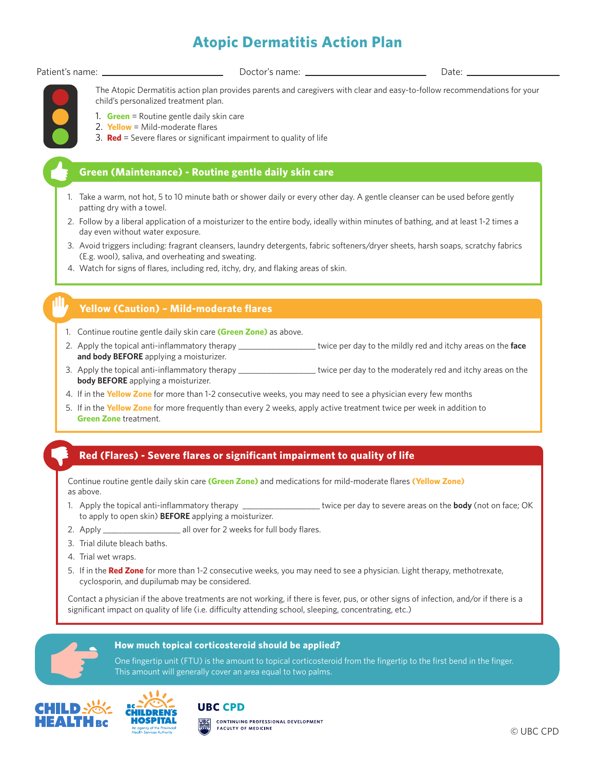## **Atopic Dermatitis Action Plan**

Patient's name:

Doctor's name: Date:



The Atopic Dermatitis action plan provides parents and caregivers with clear and easy-to-follow recommendations for your child's personalized treatment plan.

- 1. **Green** = Routine gentle daily skin care
- 2. **Yellow** = Mild-moderate flares
- 3. **Red** = Severe flares or significant impairment to quality of life

### **Green (Maintenance) - Routine gentle daily skin care**

- 1. Take a warm, not hot, 5 to 10 minute bath or shower daily or every other day. A gentle cleanser can be used before gently patting dry with a towel.
- 2. Follow by a liberal application of a moisturizer to the entire body, ideally within minutes of bathing, and at least 1-2 times a day even without water exposure.
- 3. Avoid triggers including: fragrant cleansers, laundry detergents, fabric softeners/dryer sheets, harsh soaps, scratchy fabrics (E.g. wool), saliva, and overheating and sweating.
- 4. Watch for signs of flares, including red, itchy, dry, and flaking areas of skin.

### **Yellow (Caution) – Mild-moderate flares**

- 1. Continue routine gentle daily skin care **(Green Zone)** as above.
- 2. Apply the topical anti-inflammatory therapy \_\_\_\_\_\_\_\_\_\_\_\_\_\_\_\_\_\_\_ twice per day to the mildly red and itchy areas on the **face and body BEFORE** applying a moisturizer.
- 3. Apply the topical anti-inflammatory therapy \_\_\_\_\_\_\_\_\_\_\_\_\_\_\_\_\_\_\_ twice per day to the moderately red and itchy areas on the **body BEFORE** applying a moisturizer.
- 4. If in the **Yellow Zone** for more than 1-2 consecutive weeks, you may need to see a physician every few months
- 5. If in the **Yellow Zone** for more frequently than every 2 weeks, apply active treatment twice per week in addition to **Green Zone** treatment.

### **Red (Flares) - Severe flares or significant impairment to quality of life**

Continue routine gentle daily skin care **(Green Zone)** and medications for mild-moderate flares **(Yellow Zone)**  as above.

- 1. Apply the topical anti-inflammatory therapy \_\_\_\_\_\_\_\_\_\_\_\_\_\_\_\_\_\_\_ twice per day to severe areas on the **body** (not on face; OK to apply to open skin) **BEFORE** applying a moisturizer.
- 2. Apply \_\_\_\_\_\_\_\_\_\_\_\_\_\_\_\_\_\_\_\_\_\_\_\_ all over for 2 weeks for full body flares.
- 3. Trial dilute bleach baths.
- 4. Trial wet wraps.
- 5. If in the **Red Zone** for more than 1-2 consecutive weeks, you may need to see a physician. Light therapy, methotrexate, cyclosporin, and dupilumab may be considered.

Contact a physician if the above treatments are not working, if there is fever, pus, or other signs of infection, and/or if there is a significant impact on quality of life (i.e. difficulty attending school, sleeping, concentrating, etc.)

One fingertip unit (FTU) is the amount to topical corticosteroid from the fingertip to the first bend in the finger.





This amount will generally cover an area equal to two palms.

**How much topical corticosteroid should be applied?**

**UBC CPD** CONTINUING PROFESSIONAL DEVELOPMENT **FACULTY OF MEDICINE**